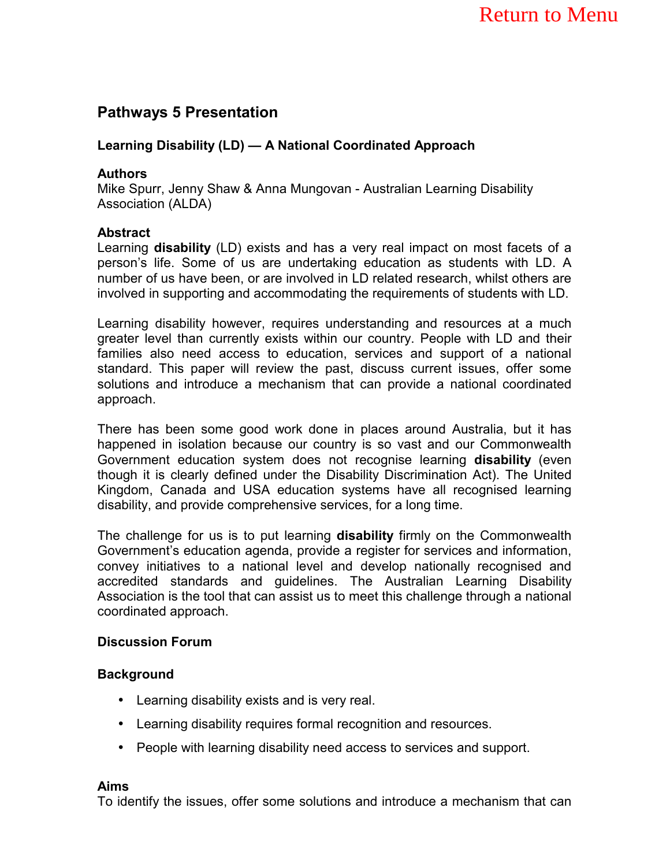# **Pathways 5 Presentation**

### Learning Disability (LD) — A National Coordinated Approach

#### **Authors**

Mike Spurr, Jenny Shaw & Anna Mungovan - Australian Learning Disability Association (ALDA)

#### **Abstract**

Learning **disability** (LD) exists and has a very real impact on most facets of a personís life. Some of us are undertaking education as students with LD. A number of us have been, or are involved in LD related research, whilst others are involved in supporting and accommodating the requirements of students with LD.

Learning disability however, requires understanding and resources at a much greater level than currently exists within our country. People with LD and their families also need access to education, services and support of a national standard. This paper will review the past, discuss current issues, offer some solutions and introduce a mechanism that can provide a national coordinated approach.

There has been some good work done in places around Australia, but it has happened in isolation because our country is so vast and our Commonwealth Government education system does not recognise learning **disability** (even though it is clearly defined under the Disability Discrimination Act). The United Kingdom, Canada and USA education systems have all recognised learning disability, and provide comprehensive services, for a long time.

The challenge for us is to put learning **disability** firmly on the Commonwealth Governmentís education agenda, provide a register for services and information, convey initiatives to a national level and develop nationally recognised and accredited standards and guidelines. The Australian Learning Disability Association is the tool that can assist us to meet this challenge through a national coordinated approach.

#### **Discussion Forum**

#### **Background**

- Learning disability exists and is very real.
- Learning disability requires formal recognition and resources.
- People with learning disability need access to services and support.

#### **Aims**

To identify the issues, offer some solutions and introduce a mechanism that can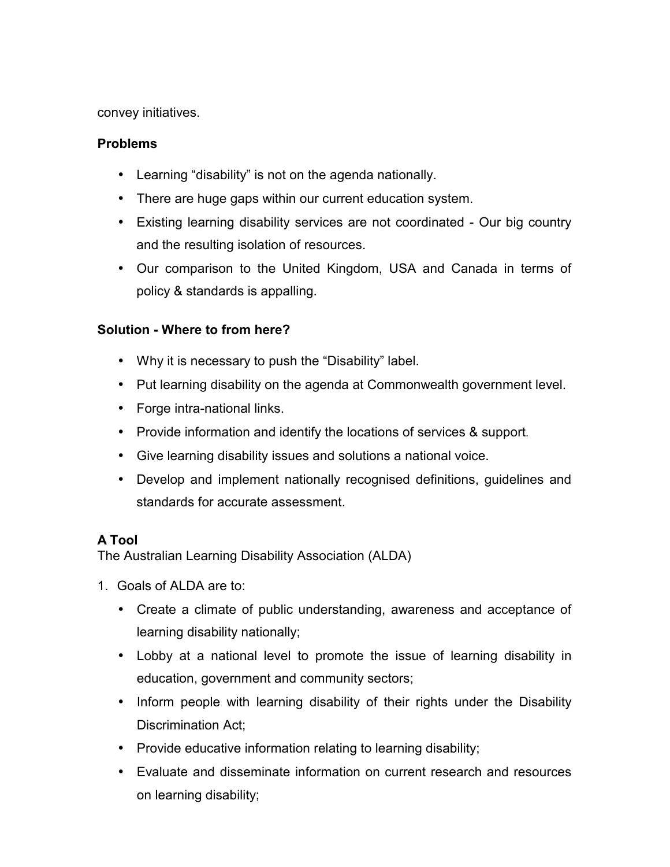convey initiatives.

### **Problems**

- $\bullet$  Learning "disability" is not on the agenda nationally.
- There are huge gaps within our current education system.
- Existing learning disability services are not coordinated Our big country and the resulting isolation of resources.
- Our comparison to the United Kingdom, USA and Canada in terms of policy & standards is appalling.

### **Solution - Where to from here?**

- Why it is necessary to push the "Disability" label.
- Put learning disability on the agenda at Commonwealth government level.
- Forge intra-national links.
- Provide information and identify the locations of services & support.
- Give learning disability issues and solutions a national voice.
- Develop and implement nationally recognised definitions, guidelines and standards for accurate assessment.

## **A Tool**

The Australian Learning Disability Association (ALDA)

- 1. Goals of ALDA are to:
	- Create a climate of public understanding, awareness and acceptance of learning disability nationally;
	- Lobby at a national level to promote the issue of learning disability in education, government and community sectors;
	- Inform people with learning disability of their rights under the Disability Discrimination Act;
	- Provide educative information relating to learning disability;
	- Evaluate and disseminate information on current research and resources on learning disability;